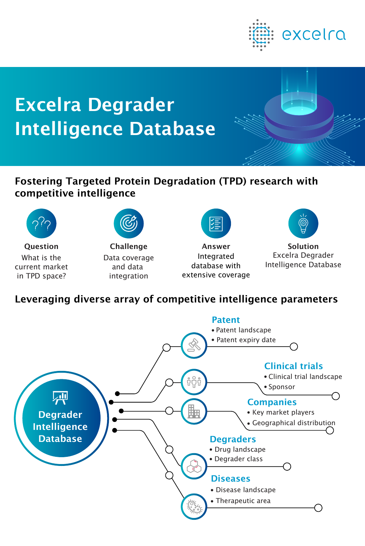

# Excelra Degrader Intelligence Database



# Fostering Targeted Protein Degradation (TPD) research with competitive intelligence



What is the current market in TPD space?



Data coverage and data integration



**Question** Challenge Answer Solution **Integrated** database with extensive coverage



Excelra Degrader Intelligence Database

# Leveraging diverse array of competitive intelligence parameters

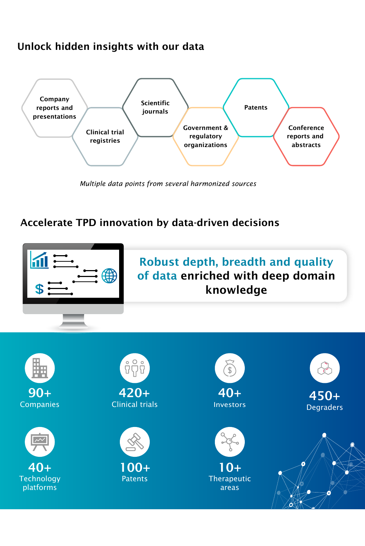#### Unlock hidden insights with our data



 *Multiple data points from several harmonized sources*

#### Accelerate TPD innovation by data-driven decisions